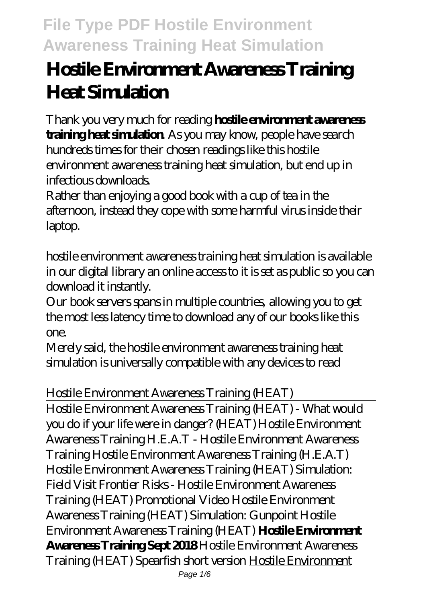# **Hostile Environment Awareness Training Heat Simulation**

Thank you very much for reading **hostile environment awareness training heat simulation**. As you may know, people have search hundreds times for their chosen readings like this hostile environment awareness training heat simulation, but end up in infectious downloads.

Rather than enjoying a good book with a cup of tea in the afternoon, instead they cope with some harmful virus inside their laptop.

hostile environment awareness training heat simulation is available in our digital library an online access to it is set as public so you can download it instantly.

Our book servers spans in multiple countries, allowing you to get the most less latency time to download any of our books like this one.

Merely said, the hostile environment awareness training heat simulation is universally compatible with any devices to read

#### *Hostile Environment Awareness Training (HEAT)*

Hostile Environment Awareness Training (HEAT) - What would you do if your life were in danger? (HEAT) Hostile Environment Awareness Training H.E.A.T - Hostile Environment Awareness Training Hostile Environment Awareness Training (H.E.A.T) *Hostile Environment Awareness Training (HEAT) Simulation: Field Visit Frontier Risks - Hostile Environment Awareness Training (HEAT) Promotional Video Hostile Environment Awareness Training (HEAT) Simulation: Gunpoint Hostile Environment Awareness Training (HEAT)* **Hostile Environment Awareness Training Sept 2018** *Hostile Environment Awareness Training (HEAT) Spearfish short version* Hostile Environment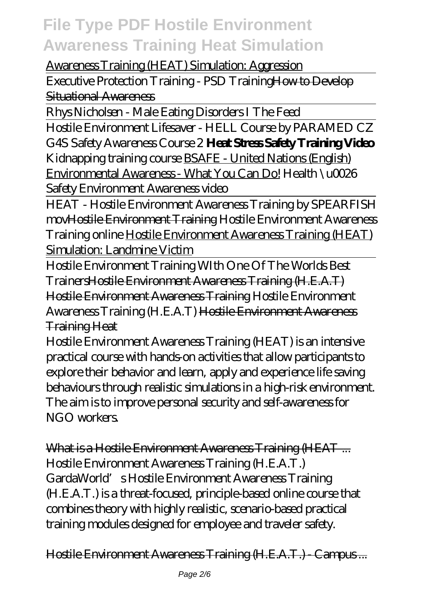#### Awareness Training (HEAT) Simulation: Aggression

Executive Protection Training - PSD TrainingHow to Develop Situational Awareness

Rhys Nicholsen - Male Eating Disorders I The Feed

Hostile Environment Lifesaver - HELL Course by PARAMED CZ *G4S Safety Awareness Course 2* **Heat Stress Safety Training Video** *Kidnapping training course* BSAFE - United Nations (English) Environmental Awareness - What You Can Do! *Health \u0026 Safety Environment Awareness video*

HEAT - Hostile Environment Awareness Training by SPEARFISH movHostile Environment Training *Hostile Environment Awareness Training online* Hostile Environment Awareness Training (HEAT) Simulation: Landmine Victim

Hostile Environment Training WIth One Of The Worlds Best TrainersHostile Environment Awareness Training (H.E.A.T) Hostile Environment Awareness Training *Hostile Environment Awareness Training (H.E.A.T)* Hostile Environment Awareness Training Heat

Hostile Environment Awareness Training (HEAT) is an intensive practical course with hands-on activities that allow participants to explore their behavior and learn, apply and experience life saving behaviours through realistic simulations in a high-risk environment. The aim is to improve personal security and self-awareness for NGO workers.

What is a Hostile Environment Awareness Training (HEAT ... Hostile Environment Awareness Training (H.E.A.T.) GardaWorld's Hostile Environment Awareness Training (H.E.A.T.) is a threat-focused, principle-based online course that combines theory with highly realistic, scenario-based practical training modules designed for employee and traveler safety.

Hostile Environment Awareness Training (H.E.A.T.) - Campus ...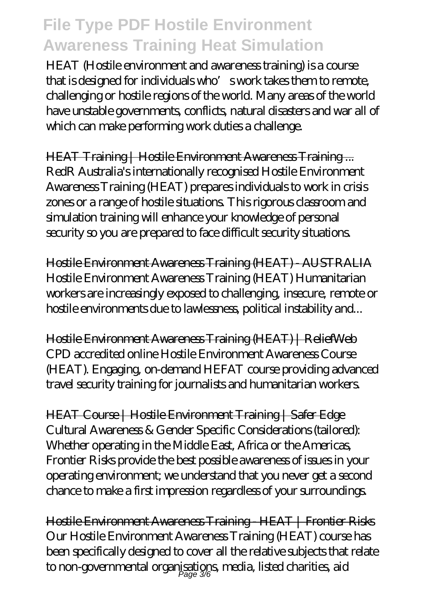HEAT (Hostile environment and awareness training) is a course that is designed for individuals who's work takes them to remote, challenging or hostile regions of the world. Many areas of the world have unstable governments, conflicts, natural disasters and war all of which can make performing work duties a challenge.

HEAT Training | Hostile Environment Awareness Training ... RedR Australia's internationally recognised Hostile Environment Awareness Training (HEAT) prepares individuals to work in crisis zones or a range of hostile situations. This rigorous classroom and simulation training will enhance your knowledge of personal security so you are prepared to face difficult security situations.

Hostile Environment Awareness Training (HEAT) - AUSTRALIA Hostile Environment Awareness Training (HEAT) Humanitarian workers are increasingly exposed to challenging, insecure, remote or hostile environments due to lawlessness, political instability and...

Hostile Environment Awareness Training (HEAT) | ReliefWeb CPD accredited online Hostile Environment Awareness Course (HEAT). Engaging, on-demand HEFAT course providing advanced travel security training for journalists and humanitarian workers.

HEAT Course | Hostile Environment Training | Safer Edge Cultural Awareness & Gender Specific Considerations (tailored): Whether operating in the Middle East, Africa or the Americas, Frontier Risks provide the best possible awareness of issues in your operating environment; we understand that you never get a second chance to make a first impression regardless of your surroundings.

Hostile Environment Awareness Training - HEAT | Frontier Risks Our Hostile Environment Awareness Training (HEAT) course has been specifically designed to cover all the relative subjects that relate to non-governmental organisations, media, listed charities, aid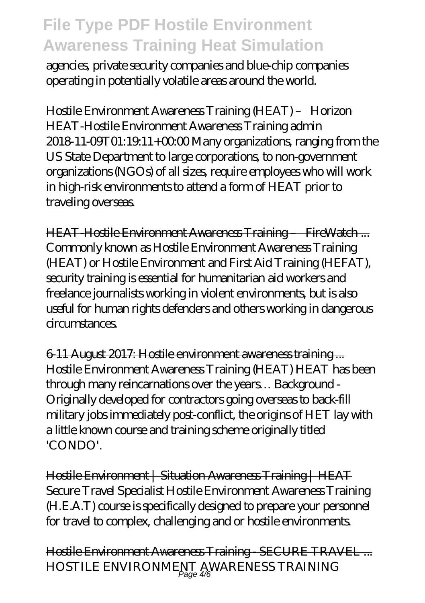agencies, private security companies and blue-chip companies operating in potentially volatile areas around the world.

Hostile Environment Awareness Training (HEAT) – Horizon HEAT-Hostile Environment Awareness Training admin 2018-11-09T01:19:11+00:00 Many organizations, ranging from the US State Department to large corporations, to non-government organizations (NGOs) of all sizes, require employees who will work in high-risk environments to attend a form of HEAT prior to traveling overseas.

HEAT-Hostile Environment Awareness Training – FireWatch ... Commonly known as Hostile Environment Awareness Training (HEAT) or Hostile Environment and First Aid Training (HEFAT), security training is essential for humanitarian aid workers and freelance journalists working in violent environments, but is also useful for human rights defenders and others working in dangerous circumstances.

6-11 August 2017: Hostile environment awareness training ... Hostile Environment Awareness Training (HEAT) HEAT has been through many reincarnations over the years… Background - Originally developed for contractors going overseas to back-fill military jobs immediately post-conflict, the origins of HET lay with a little known course and training scheme originally titled 'CONDO'.

Hostile Environment | Situation Awareness Training | HEAT Secure Travel Specialist Hostile Environment Awareness Training (H.E.A.T) course is specifically designed to prepare your personnel for travel to complex, challenging and or hostile environments.

Hostile Environment Awareness Training - SECURE TRAVEL ... HOSTILE ENVIRONMENT AWARENESS TRAINING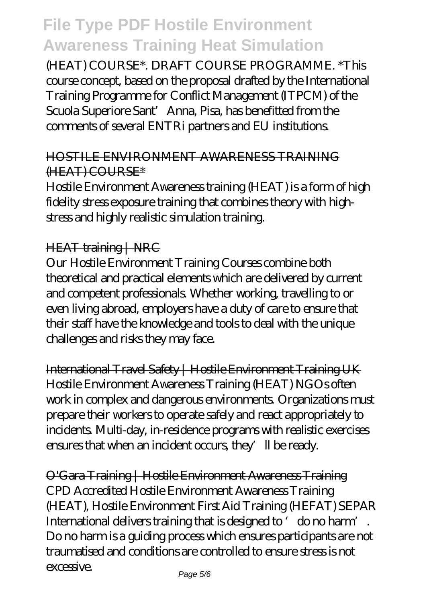(HEAT) COURSE\*. DRAFT COURSE PROGRAMME. \*This course concept, based on the proposal drafted by the International Training Programme for Conflict Management (ITPCM) of the Scuola Superiore Sant' Anna, Pisa, has benefitted from the comments of several ENTRi partners and EU institutions.

#### HOSTILE ENVIRONMENT AWARENESS TRAINING (HEAT) COURSE\*

Hostile Environment Awareness training (HEAT) is a form of high fidelity stress exposure training that combines theory with highstress and highly realistic simulation training.

#### HEAT training | NRC

Our Hostile Environment Training Courses combine both theoretical and practical elements which are delivered by current and competent professionals. Whether working, travelling to or even living abroad, employers have a duty of care to ensure that their staff have the knowledge and tools to deal with the unique challenges and risks they may face.

International Travel Safety | Hostile Environment Training UK Hostile Environment Awareness Training (HEAT) NGOs often work in complex and dangerous environments. Organizations must prepare their workers to operate safely and react appropriately to incidents. Multi-day, in-residence programs with realistic exercises ensures that when an incident occurs, they'll be ready.

O'Gara Training | Hostile Environment Awareness Training CPD Accredited Hostile Environment Awareness Training (HEAT), Hostile Environment First Aid Training (HEFAT) SEPAR International delivers training that is designed to 'do no harm'. Do no harm is a guiding process which ensures participants are not traumatised and conditions are controlled to ensure stress is not excessive